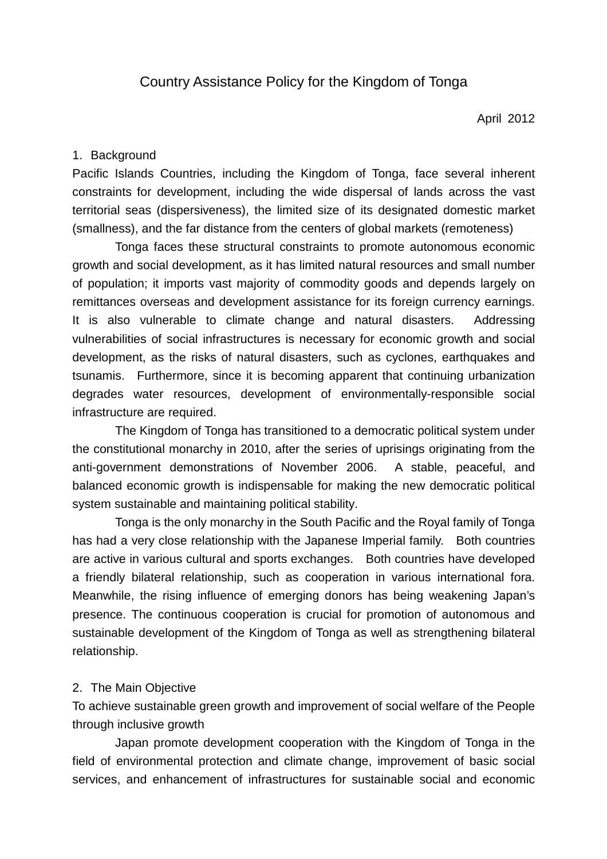April 2012

## 1. Background

Pacific Islands Countries, including the Kingdom of Tonga, face several inherent constraints for development, including the wide dispersal of lands across the vast territorial seas (dispersiveness), the limited size of its designated domestic market (smallness), and the far distance from the centers of global markets (remoteness)

Tonga faces these structural constraints to promote autonomous economic growth and social development, as it has limited natural resources and small number of population; it imports vast majority of commodity goods and depends largely on remittances overseas and development assistance for its foreign currency earnings. It is also vulnerable to climate change and natural disasters. Addressing vulnerabilities of social infrastructures is necessary for economic growth and social development, as the risks of natural disasters, such as cyclones, earthquakes and tsunamis. Furthermore, since it is becoming apparent that continuing urbanization degrades water resources, development of environmentally-responsible social infrastructure are required.

The Kingdom of Tonga has transitioned to a democratic political system under the constitutional monarchy in 2010, after the series of uprisings originating from the anti-government demonstrations of November 2006. A stable, peaceful, and balanced economic growth is indispensable for making the new democratic political system sustainable and maintaining political stability.

Tonga is the only monarchy in the South Pacific and the Royal family of Tonga has had a very close relationship with the Japanese Imperial family. Both countries are active in various cultural and sports exchanges. Both countries have developed a friendly bilateral relationship, such as cooperation in various international fora. Meanwhile, the rising influence of emerging donors has being weakening Japan's presence. The continuous cooperation is crucial for promotion of autonomous and sustainable development of the Kingdom of Tonga as well as strengthening bilateral relationship.

### 2. The Main Objective

To achieve sustainable green growth and improvement of social welfare of the People through inclusive growth

Japan promote development cooperation with the Kingdom of Tonga in the field of environmental protection and climate change, improvement of basic social services, and enhancement of infrastructures for sustainable social and economic